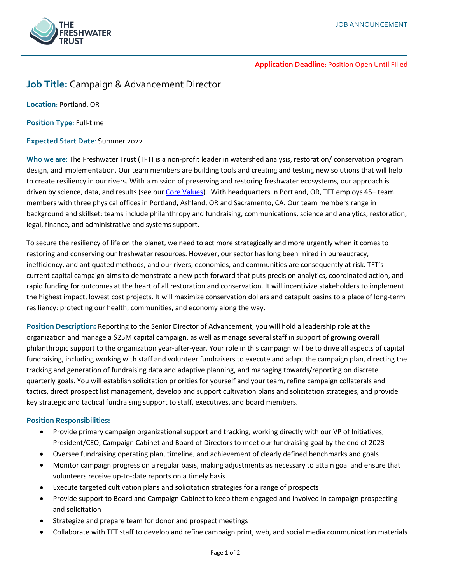

**Application Deadline**: Position Open Until Filled

# **Job Title:** Campaign & Advancement Director

**Location**: Portland, OR

**Position Type**: Full-time

## **Expected Start Date**: Summer 2022

**Who we are**: The Freshwater Trust (TFT) is a non-profit leader in watershed analysis, restoration/ conservation program design, and implementation. Our team members are building tools and creating and testing new solutions that will help to create resiliency in our rivers. With a mission of preserving and restoring freshwater ecosystems, our approach is driven by science, data, and results (see our [Core Values\)](https://www.thefreshwatertrust.org/about-us/core-values/). With headquarters in Portland, OR, TFT employs 45+ team members with three physical offices in Portland, Ashland, OR and Sacramento, CA. Our team members range in background and skillset; teams include philanthropy and fundraising, communications, science and analytics, restoration, legal, finance, and administrative and systems support.

To secure the resiliency of life on the planet, we need to act more strategically and more urgently when it comes to restoring and conserving our freshwater resources. However, our sector has long been mired in bureaucracy, inefficiency, and antiquated methods, and our rivers, economies, and communities are consequently at risk. TFT's current capital campaign aims to demonstrate a new path forward that puts precision analytics, coordinated action, and rapid funding for outcomes at the heart of all restoration and conservation. It will incentivize stakeholders to implement the highest impact, lowest cost projects. It will maximize conservation dollars and catapult basins to a place of long-term resiliency: protecting our health, communities, and economy along the way.

**Position Description:** Reporting to the Senior Director of Advancement, you will hold a leadership role at the organization and manage a \$25M capital campaign, as well as manage several staff in support of growing overall philanthropic support to the organization year-after-year. Your role in this campaign will be to drive all aspects of capital fundraising, including working with staff and volunteer fundraisers to execute and adapt the campaign plan, directing the tracking and generation of fundraising data and adaptive planning, and managing towards/reporting on discrete quarterly goals. You will establish solicitation priorities for yourself and your team, refine campaign collaterals and tactics, direct prospect list management, develop and support cultivation plans and solicitation strategies, and provide key strategic and tactical fundraising support to staff, executives, and board members.

## **Position Responsibilities:**

- Provide primary campaign organizational support and tracking, working directly with our VP of Initiatives, President/CEO, Campaign Cabinet and Board of Directors to meet our fundraising goal by the end of 2023
- Oversee fundraising operating plan, timeline, and achievement of clearly defined benchmarks and goals
- Monitor campaign progress on a regular basis, making adjustments as necessary to attain goal and ensure that volunteers receive up-to-date reports on a timely basis
- Execute targeted cultivation plans and solicitation strategies for a range of prospects
- Provide support to Board and Campaign Cabinet to keep them engaged and involved in campaign prospecting and solicitation
- Strategize and prepare team for donor and prospect meetings
- Collaborate with TFT staff to develop and refine campaign print, web, and social media communication materials